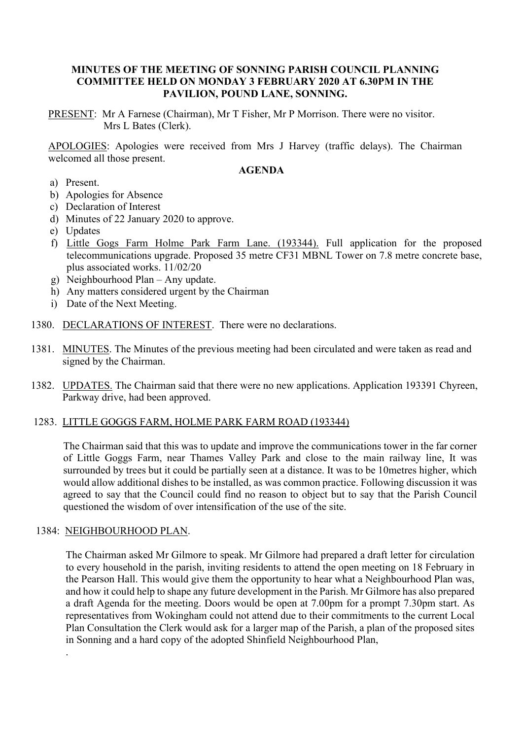## **MINUTES OF THE MEETING OF SONNING PARISH COUNCIL PLANNING COMMITTEE HELD ON MONDAY 3 FEBRUARY 2020 AT 6.30PM IN THE PAVILION, POUND LANE, SONNING.**

PRESENT: Mr A Farnese (Chairman), Mr T Fisher, Mr P Morrison. There were no visitor. Mrs L Bates (Clerk).

APOLOGIES: Apologies were received from Mrs J Harvey (traffic delays). The Chairman welcomed all those present.

### **AGENDA**

- a) Present.
- b) Apologies for Absence
- c) Declaration of Interest
- d) Minutes of 22 January 2020 to approve.
- e) Updates
- f) Little Gogs Farm Holme Park Farm Lane. (193344). Full application for the proposed telecommunications upgrade. Proposed 35 metre CF31 MBNL Tower on 7.8 metre concrete base, plus associated works. 11/02/20
- g) Neighbourhood Plan Any update.
- h) Any matters considered urgent by the Chairman
- i) Date of the Next Meeting.
- 1380. DECLARATIONS OF INTEREST. There were no declarations.
- 1381. MINUTES. The Minutes of the previous meeting had been circulated and were taken as read and signed by the Chairman.
- 1382. UPDATES. The Chairman said that there were no new applications. Application 193391 Chyreen, Parkway drive, had been approved.

### 1283. LITTLE GOGGS FARM, HOLME PARK FARM ROAD (193344)

The Chairman said that this was to update and improve the communications tower in the far corner of Little Goggs Farm, near Thames Valley Park and close to the main railway line, It was surrounded by trees but it could be partially seen at a distance. It was to be 10metres higher, which would allow additional dishes to be installed, as was common practice. Following discussion it was agreed to say that the Council could find no reason to object but to say that the Parish Council questioned the wisdom of over intensification of the use of the site.

### 1384: NEIGHBOURHOOD PLAN.

.

The Chairman asked Mr Gilmore to speak. Mr Gilmore had prepared a draft letter for circulation to every household in the parish, inviting residents to attend the open meeting on 18 February in the Pearson Hall. This would give them the opportunity to hear what a Neighbourhood Plan was, and how it could help to shape any future development in the Parish. Mr Gilmore has also prepared a draft Agenda for the meeting. Doors would be open at 7.00pm for a prompt 7.30pm start. As representatives from Wokingham could not attend due to their commitments to the current Local Plan Consultation the Clerk would ask for a larger map of the Parish, a plan of the proposed sites in Sonning and a hard copy of the adopted Shinfield Neighbourhood Plan,